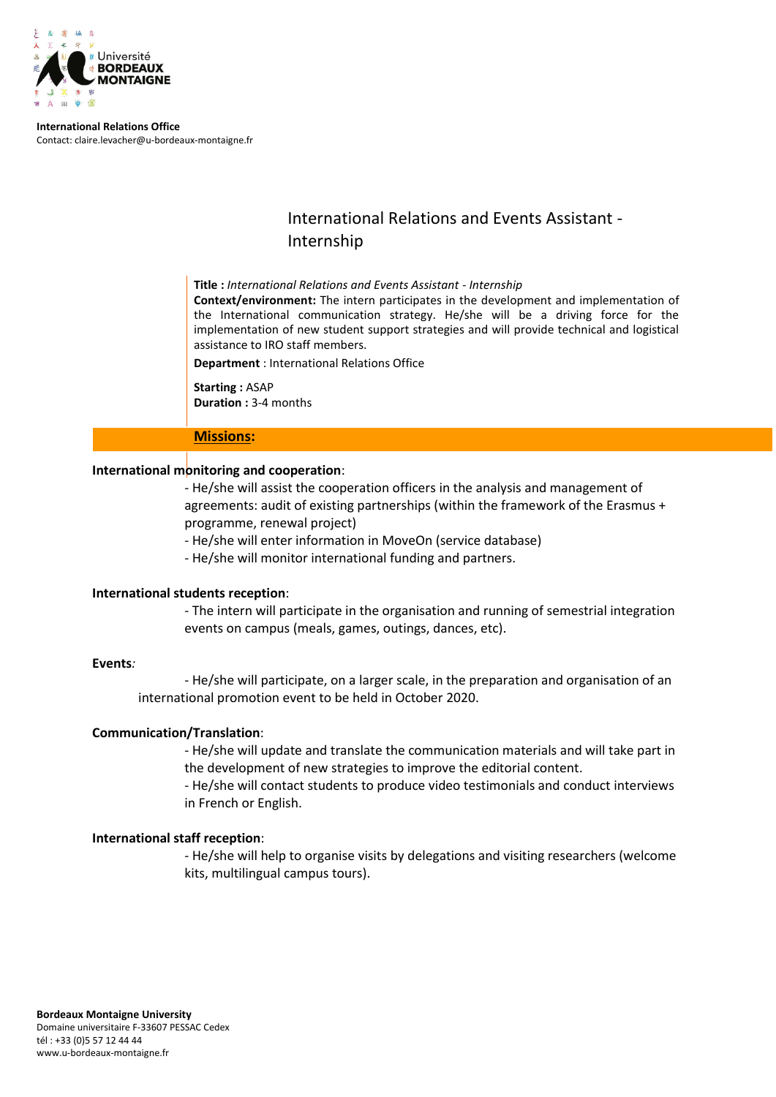

**International Relations Office** Contact: claire.levacher@u-bordeaux-montaigne.fr

# International Relations and Events Assistant - Internship

**Title :** *International Relations and Events Assistant - Internship*

**Context/environment:** The intern participates in the development and implementation of the International communication strategy. He/she will be a driving force for the implementation of new student support strategies and will provide technical and logistical assistance to IRO staff members.

**Department** : International Relations Office

**Starting :** ASAP **Duration :** 3-4 months

# **Missions:**

# **International monitoring and cooperation**:

- He/she will assist the cooperation officers in the analysis and management of agreements: audit of existing partnerships (within the framework of the Erasmus + programme, renewal project)

- He/she will enter information in MoveOn (service database)

- He/she will monitor international funding and partners.

# **International students reception**:

- The intern will participate in the organisation and running of semestrial integration events on campus (meals, games, outings, dances, etc).

# **Events***:*

- He/she will participate, on a larger scale, in the preparation and organisation of an international promotion event to be held in October 2020.

# **Communication/Translation**:

- He/she will update and translate the communication materials and will take part in the development of new strategies to improve the editorial content.

- He/she will contact students to produce video testimonials and conduct interviews in French or English.

# **International staff reception**:

- He/she will help to organise visits by delegations and visiting researchers (welcome kits, multilingual campus tours).

www.u-bordeaux-montaigne.fr